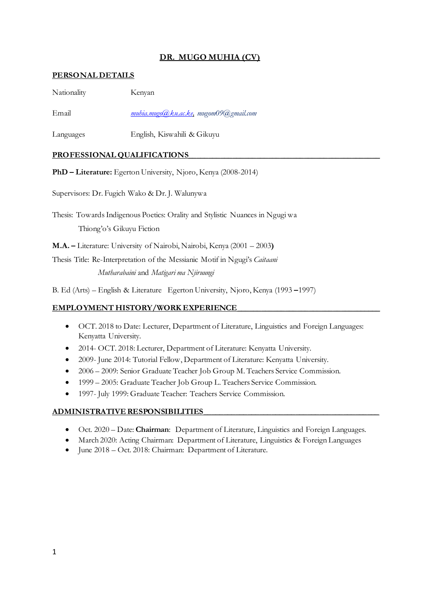# **DR. MUGO MUHIA (CV)**

#### **PERSONAL DETAILS**

| Nationality | Kenyan                                 |
|-------------|----------------------------------------|
| Email       | muhia.mugo@ku.ac.ke, mugom09@gmail.com |

Languages English, Kiswahili & Gikuyu

## PROFESSIONAL QUALIFICATIONS

**PhD – Literature:** Egerton University, Njoro, Kenya (2008-2014)

Supervisors: Dr. Fugich Wako & Dr. J. Walunywa

Thesis: Towards Indigenous Poetics: Orality and Stylistic Nuances in Ngugi wa Thiong'o's Gikuyu Fiction

**M.A. –** Literature: University of Nairobi, Nairobi, Kenya (2001 – 2003**)** 

Thesis Title: Re-Interpretation of the Messianic Motif in Ngugi's *Caitaani Mutharabaini* and *Matigari ma Njiruungi*

B. Ed (Arts) – English & Literature Egerton University, Njoro, Kenya (1993 **–**1997)

## EMPLOYMENT HISTORY/WORK EXPERIENCE

- OCT. 2018 to Date: Lecturer, Department of Literature, Linguistics and Foreign Languages: Kenyatta University.
- 2014- OCT. 2018: Lecturer, Department of Literature: Kenyatta University.
- 2009- June 2014: Tutorial Fellow, Department of Literature: Kenyatta University.
- 2006 2009: Senior Graduate Teacher Job Group M. Teachers Service Commission.
- 1999 2005: Graduate Teacher Job Group L. Teachers Service Commission.
- 1997- July 1999: Graduate Teacher: Teachers Service Commission.

## **ADMINISTRATIVE RESPONSIBILITIES\_\_\_\_\_\_\_\_\_\_\_\_\_\_\_\_\_\_\_\_\_\_\_\_\_\_\_\_\_\_\_\_\_\_\_\_\_\_\_\_\_\_\_\_**

- Oct. 2020 Date: **Chairman**: Department of Literature, Linguistics and Foreign Languages.
- March 2020: Acting Chairman: Department of Literature, Linguistics & Foreign Languages
- June 2018 Oct. 2018: Chairman: Department of Literature.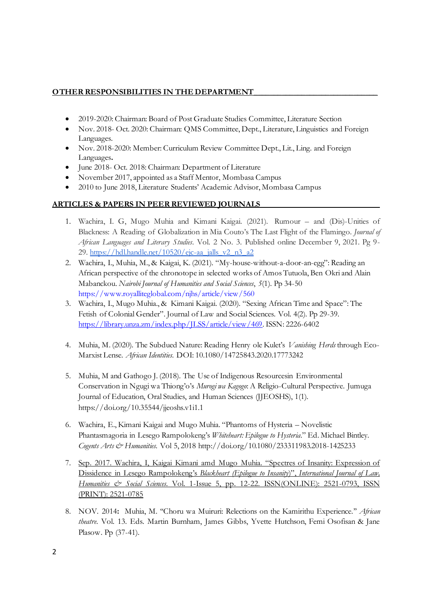#### **OTHER RESPONSIBILITIES IN THE DEPARTMENT**

- 2019-2020: Chairman: Board of Post Graduate Studies Committee, Literature Section
- Nov. 2018- Oct. 2020: Chairman: QMS Committee, Dept., Literature, Linguistics and Foreign Languages.
- Nov. 2018-2020: Member: Curriculum Review Committee Dept., Lit., Ling. and Foreign Languages**.**
- June 2018- Oct. 2018: Chairman: Department of Literature
- November 2017, appointed as a Staff Mentor, Mombasa Campus
- 2010 to June 2018, Literature Students' Academic Advisor, Mombasa Campus

#### **ARTICLES & PAPERS IN PEER REVIEWED JOURNALS\_\_\_\_\_\_\_\_\_\_\_\_\_\_\_\_\_\_\_\_\_\_\_\_\_\_\_\_\_\_**

- 1. Wachira, I. G, Mugo Muhia and Kimani Kaigai. (2021). Rumour and (Dis)-Unities of Blackness: A Reading of Globalization in Mia Couto's The Last Flight of the Flamingo. *Journal of African Languages and Literary Studies*. Vol. 2 No. 3. Published online December 9, 2021. Pg 9 29. [https://hdl.handle.net/10520/ejc-aa\\_jalls\\_v2\\_n3\\_a2](https://hdl.handle.net/10520/ejc-aa_jalls_v2_n3_a2)
- 2. Wachira, I., Muhia, M., & Kaigai, K. (2021). "My-house-without-a-door-an-egg": Reading an African perspective of the chronotope in selected works of Amos Tutuola, Ben Okri and Alain Mabanckou. *Nairobi Journal of Humanities and Social Sciences*, *5*(1). Pp 34-50 <https://www.royalliteglobal.com/njhs/article/view/560>
- 3. Wachira, I., Mugo Muhia., & Kimani Kaigai. (2020). "Sexing African Time and Space": The Fetish of Colonial Gender". Journal of Law and Social Sciences. Vol. 4(2). Pp 29-39. [https://library.unza.zm/index.php/JLSS/article/view/469.](https://library.unza.zm/index.php/JLSS/article/view/469) ISSN: 2226-6402
- 4. Muhia, M. (2020). The Subdued Nature: Reading Henry ole Kulet's *Vanishing Herds* through Eco-Marxist Lense. *African Identities*. DOI: 10.1080/14725843.2020.17773242
- 5. Muhia, M and Gathogo J. (2018). The Use of Indigenous Resourcesin Environmental Conservation in Ngugi wa Thiong'o's *Murogi wa Kagogo*: A Religio-Cultural Perspective. Jumuga Journal of Education, Oral Studies, and Human Sciences (JJEOSHS), 1(1). https://doi.org/10.35544/jjeoshs.v1i1.1
- 6. Wachira, E., Kimani Kaigai and Mugo Muhia. "Phantoms of Hysteria Novelistic Phantasmagoria in Lesego Rampolokeng's *Whiteheart: Epilogue to Hysteria*." Ed. Michael Bintley. *Cogents Arts & Humanities*. Vol 5, 2018 http://doi.org/10.1080/233311983.2018-1425233
- 7. Sep. 2017. Wachira, I, Kaigai Kimani amd Mugo Muhia. "Spectres of Insanity: Expression of Dissidence in Lesego Rampolokeng's *Blackheart (Epilogue to Insanity*)", *International Journal of Law, Humanities & Social Sciences*. Vol. 1-Issue 5, pp. 12-22. ISSN(ONLINE): 2521-0793, ISSN (PRINT): 2521-0785
- 8. NOV. 2014**:** Muhia, M. ''Choru wa Muiruri: Relections on the Kamirithu Experience.'' *African theatre*. Vol. 13. Eds. Martin Burnham, James Gibbs, Yvette Hutchson, Femi Osofisan & Jane Plasow. Pp (37-41).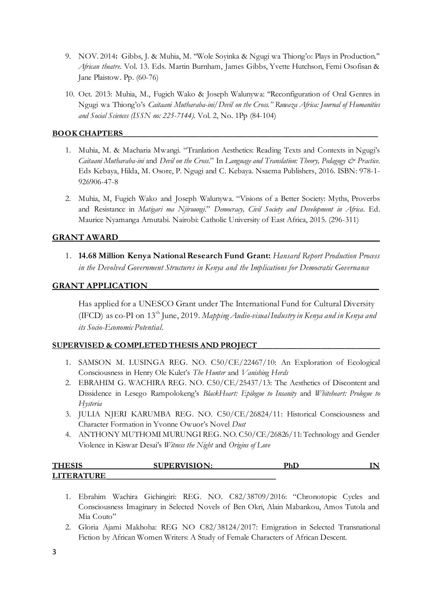- 9. NOV. 2014**:** Gibbs, J. & Muhia, M. ''Wole Soyinka & Ngugi wa Thiong'o: Plays in Production.'' *African theatre*. Vol. 13. Eds. Martin Burnham, James Gibbs, Yvette Hutchson, Femi Osofisan & Jane Plaistow. Pp. (60-76)
- 10. Oct. 2013: Muhia, M., Fugich Wako & Joseph Walunywa: ''Reconfiguration of Oral Genres in Ngugi wa Thiong'o's *Caitaani Mutharaba-ini*/*Devil on the Cross.'' Ruwaza Africa: Journal of Humanities and Social Sciences (ISSN no: 225-7144).* Vol. 2, No. 1Pp (84-104)

## **BOOK CHAPTERS\_\_\_\_\_\_\_\_\_\_\_\_\_\_\_\_\_\_\_\_\_\_\_\_\_\_\_\_\_\_\_\_\_\_\_\_\_\_\_\_\_\_\_\_\_\_\_\_\_\_\_\_\_\_\_\_\_\_\_\_\_\_\_\_**

- 1. Muhia, M. & Macharia Mwangi. "Tranlation Aesthetics: Reading Texts and Contexts in Ngugi's *Caitaani Mutharaba-ini* and *Devil on the Cross*." In *Language and Translation: Theory, Pedagogy & Practice*. Eds Kebaya, Hilda, M. Osore, P. Ngugi and C. Kebaya. Nsaema Publishers, 2016. ISBN: 978-1- 926906-47-8
- 2. Muhia, M, Fugich Wako and Joseph Walunywa. "Visions of a Better Society: Myths, Proverbs and Resistance in *Matigari ma Njiruungi*." *Democracy, Civil Society and Development in Africa*. Ed. Maurice Nyamanga Amutabi. Nairobi: Catholic University of East Africa, 2015. (296-311)

## **GRANT AWARD\_\_\_\_\_\_\_\_\_\_\_\_\_\_\_\_\_\_\_\_\_\_\_\_\_\_\_\_\_\_\_\_\_\_\_\_\_\_\_\_\_\_\_\_\_\_\_\_\_\_\_\_\_\_\_\_\_\_\_\_**

1. **14.68 Million Kenya National Research Fund Grant:** *Hansard Report Production Process in the Devolved Government Structures in Kenya and the Implications for Democratic Governance*

## **GRANT APPLICATION**

Has applied for a UNESCO Grant under The International Fund for Cultural Diversity (IFCD) as co-PI on 13th June, 2019. *Mapping Audio-visual Industry in Kenya and in Kenya and its Socio-Economic Potential*.

#### **SUPERVISED & COMPLETED THESIS AND PROJECT\_\_\_\_\_\_\_\_\_\_\_\_\_\_\_\_\_\_\_\_\_\_\_\_\_\_\_\_\_\_\_**

- 1. SAMSON M. LUSINGA REG. NO. C50/CE/22467/10: An Exploration of Ecological Consciousness in Henry Ole Kulet's *The Hunter* and *Vanishing Herds*
- 2. EBRAHIM G. WACHIRA REG. NO. C50/CE/25437/13: The Aesthetics of Discontent and Dissidence in Lesego Rampolokeng's *BlackHeart: Epilogue to Insanity* and *Whiteheart: Prologue to Hysteria*
- 3. JULIA NJERI KARUMBA REG. NO. C50/CE/26824/11: Historical Consciousness and Character Formation in Yvonne Owuor's Novel *Dust*
- 4. ANTHONY MUTHOMI MURUNGI REG. NO. C50/CE/26826/11: Technology and Gender Violence in Kiswar Desai's *Witness the Night* and *Origins of Love*

| TUF               | <b>SUPERVISION:</b> | רות<br>1 I.L | . . |
|-------------------|---------------------|--------------|-----|
| <b>LITERATURE</b> |                     |              |     |

- 1. Ebrahim Wachira Gichingiri: REG. NO. C82/38709/2016: "Chronotopic Cycles and Consciousness Imaginary in Selected Novels of Ben Okri, Alain Mabankou, Amos Tutola and Mia Couto"
- 2. Gloria Ajami Makhoha: REG NO C82/38124/2017: Emigration in Selected Transnational Fiction by African Women Writers: A Study of Female Characters of African Descent.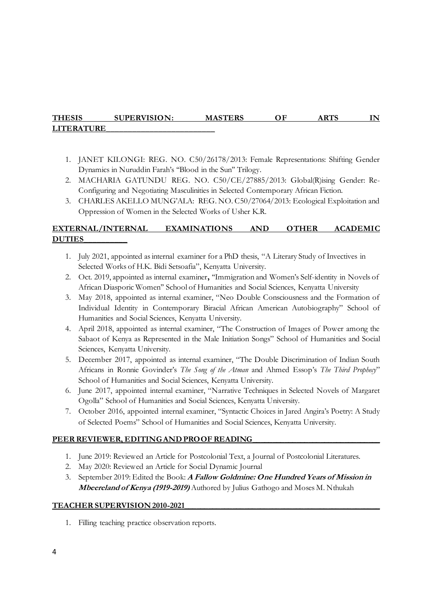# **THESIS SUPERVISION: MASTERS OF ARTS IN LITERATURE\_\_\_\_\_\_\_\_\_\_\_\_\_\_\_\_\_\_\_\_\_\_\_\_\_**

- 1. JANET KILONGI: REG. NO. C50/26178/2013: Female Representations: Shifting Gender Dynamics in Nuruddin Farah's ''Blood in the Sun'' Trilogy.
- 2. MACHARIA GATUNDU REG. NO. C50/CE/27885/2013: Global(R)ising Gender: Re-Configuring and Negotiating Masculinities in Selected Contemporary African Fiction.
- 3. CHARLES AKELLO MUNG'ALA: REG. NO. C50/27064/2013: Ecological Exploitation and Oppression of Women in the Selected Works of Usher K.R.

# **EXTERNAL/INTERNAL EXAMINATIONS AND OTHER ACADEMIC DUTIES\_\_\_\_\_\_\_\_\_\_**

- 1. July 2021, appointed as internal examiner for a PhD thesis, "A Literary Study of Invectives in Selected Works of H.K. Bidi Setsoafia", Kenyatta University.
- 2. Oct. 2019, appointed as internal examiner**,** ''Immigration and Women's Self-identity in Novels of African Diasporic Women'' School of Humanities and Social Sciences, Kenyatta University
- 3. May 2018, appointed as internal examiner, "Neo Double Consciousness and the Formation of Individual Identity in Contemporary Biracial African American Autobiography" School of Humanities and Social Sciences, Kenyatta University.
- 4. April 2018, appointed as internal examiner, "The Construction of Images of Power among the Sabaot of Kenya as Represented in the Male Initiation Songs" School of Humanities and Social Sciences, Kenyatta University.
- 5. December 2017, appointed as internal examiner, "The Double Discrimination of Indian South Africans in Ronnie Govinder's *The Song of the Atman* and Ahmed Essop's *The Third Prophecy*" School of Humanities and Social Sciences, Kenyatta University.
- 6. June 2017, appointed internal examiner, "Narrative Techniques in Selected Novels of Margaret Ogolla" School of Humanities and Social Sciences, Kenyatta University.
- 7. October 2016, appointed internal examiner, "Syntactic Choices in Jared Angira's Poetry: A Study of Selected Poems" School of Humanities and Social Sciences, Kenyatta University.

## PEER REVIEWER, EDITING AND PROOF READING

- 1. June 2019: Reviewed an Article for Postcolonial Text, a Journal of Postcolonial Literatures.
- 2. May 2020: Reviewed an Article for Social Dynamic Journal
- 3. September 2019: Edited the Book: **A Fallow Goldmine: One Hundred Years of Mission in Mbeereland of Kenya (1919-2019)** Authored by Julius Gathogo and Moses M. Nthukah

#### **TEACHER SUPERVISION 2010-2021\_\_\_\_\_\_\_\_\_\_\_\_\_\_\_\_\_\_\_\_\_\_\_\_\_\_\_\_\_\_\_\_\_\_\_\_\_\_\_\_\_\_\_\_\_\_\_\_\_**

1. Filling teaching practice observation reports.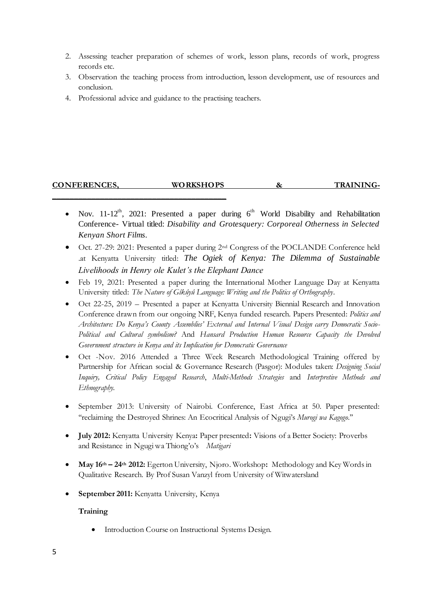- 2. Assessing teacher preparation of schemes of work, lesson plans, records of work, progress records etc.
- 3. Observation the teaching process from introduction, lesson development, use of resources and conclusion.
- 4. Professional advice and guidance to the practising teachers.

**\_\_\_\_\_\_\_\_\_\_\_\_\_\_\_\_\_\_\_\_\_\_\_\_\_\_\_\_\_\_\_\_\_\_\_\_\_\_\_\_**

# **CONFERENCES, WORKSHOPS & TRAINING-**

- Nov. 11-12<sup>th</sup>, 2021: Presented a paper during  $6<sup>th</sup>$  World Disability and Rehabilitation Conference- Virtual titled: *Disability and Grotesquery: Corporeal Otherness in Selected Kenyan Short Films.*
- Oct. 27-29: 2021: Presented a paper during 2nd Congress of the POCLANDE Conference held .at Kenyatta University titled: *The Ogiek of Kenya: The Dilemma of Sustainable Livelihoods in Henry ole Kulet's the Elephant Dance*
- Feb 19, 2021: Presented a paper during the International Mother Language Day at Kenyatta University titled: *The Nature of Gîkûyû Language: Writing and the Politics of Orthography*.
- Oct 22-25, 2019 Presented a paper at Kenyatta University Biennial Research and Innovation Conference drawn from our ongoing NRF, Kenya funded research. Papers Presented: *Politics and Architecture: Do Kenya's County Assemblies' External and Internal Visual Design carry Democratic Socio-Political and Cultural symbolism?* And *Hansard Production Human Resource Capacity the Devolved Government structure in Kenya and its Implication for Democratic Governance*
- Oct -Nov. 2016 Attended a Three Week Research Methodological Training offered by Partnership for African social & Governance Research (Pasgor): Modules taken: *Designing Social Inquiry, Critical Policy Engaged Research*, *Multi-Methods Strategies* and *Interpretive Methods and Ethnography.*
- September 2013: University of Nairobi. Conference, East Africa at 50. Paper presented: ''reclaiming the Destroyed Shrines: An Ecocritical Analysis of Ngugi's *Murogi wa Kagogo*.''
- **July 2012:** Kenyatta University Kenya**:** Paper presented**:** Visions of a Better Society: Proverbs and Resistance in Ngugi wa Thiong'o's *Matigari*
- **May 16th – 24th 2012:** Egerton University, Njoro. Workshop**:** Methodology and Key Words in Qualitative Research. By Prof Susan Vanzyl from University of Witwatersland
- **September 2011:** Kenyatta University, Kenya

#### **Training**

Introduction Course on Instructional Systems Design.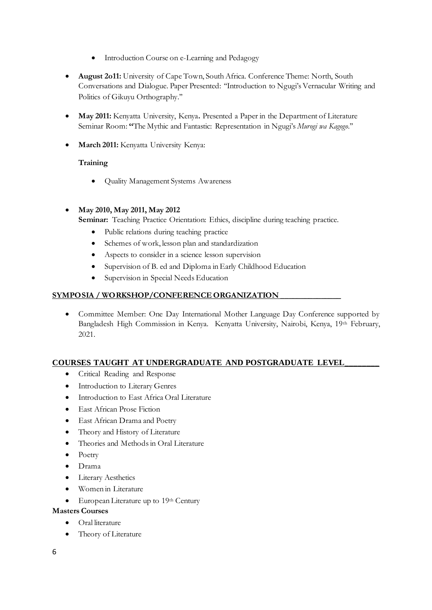- Introduction Course on e-Learning and Pedagogy
- **August 2o11:** University of Cape Town, South Africa. Conference Theme: North, South Conversations and Dialogue. Paper Presented: ''Introduction to Ngugi's Vernacular Writing and Politics of Gikuyu Orthography.''
- **May 2011:** Kenyatta University, Kenya**.** Presented a Paper in the Department of Literature Seminar Room: **''**The Mythic and Fantastic: Representation in Ngugi's *Murogi wa Kagogo*.''
- **March 2011:** Kenyatta University Kenya:

## **Training**

Quality Management Systems Awareness

## **May 2010, May 2011, May 2012**

**Seminar:** Teaching Practice Orientation: Ethics, discipline during teaching practice.

- Public relations during teaching practice
- Schemes of work, lesson plan and standardization
- Aspects to consider in a science lesson supervision
- Supervision of B. ed and Diploma in Early Childhood Education
- Supervision in Special Needs Education

## **SYMPOSIA / WORKSHOP/CONFERENCE ORGANIZATION \_\_\_\_\_\_\_\_\_\_\_\_\_\_\_**

• Committee Member: One Day International Mother Language Day Conference supported by Bangladesh High Commission in Kenya. Kenyatta University, Nairobi, Kenya, 19th February, 2021.

## **COURSES TAUGHT AT UNDERGRADUATE AND POSTGRADUATE LEVEL\_\_\_\_\_\_\_\_**

- Critical Reading and Response
- **•** Introduction to Literary Genres
- $\bullet$  Introduction to East Africa Oral Literature
- East African Prose Fiction
- East African Drama and Poetry
- Theory and History of Literature
- Theories and Methods in Oral Literature
- Poetry
- Drama
- Literary Aesthetics
- Women in Literature
- European Literature up to 19th Century

## **Masters Courses**

- Oral literature
- Theory of Literature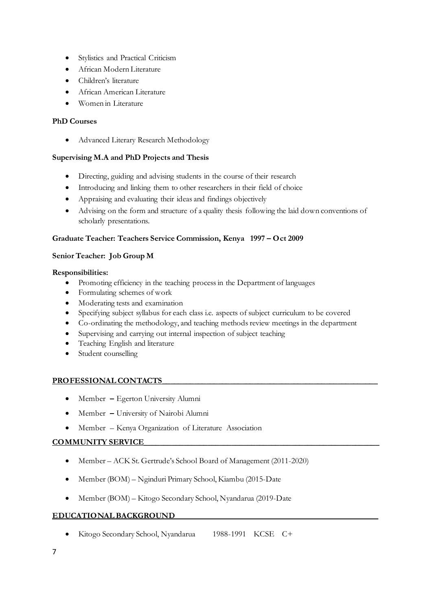- Stylistics and Practical Criticism
- African Modern Literature
- Children's literature
- African American Literature
- Women in Literature

## **PhD Courses**

Advanced Literary Research Methodology

## **Supervising M.A and PhD Projects and Thesis**

- Directing, guiding and advising students in the course of their research
- Introducing and linking them to other researchers in their field of choice
- Appraising and evaluating their ideas and findings objectively
- Advising on the form and structure of a quality thesis following the laid down conventions of scholarly presentations.

## **Graduate Teacher: Teachers Service Commission, Kenya 1997 – Oct 2009**

## **Senior Teacher: Job Group M**

## **Responsibilities:**

- Promoting efficiency in the teaching process in the Department of languages
- Formulating schemes of work
- Moderating tests and examination
- Specifying subject syllabus for each class i.e. aspects of subject curriculum to be covered
- Co-ordinating the methodology, and teaching methods review meetings in the department
- Supervising and carrying out internal inspection of subject teaching
- Teaching English and literature
- Student counselling

## PROFESSIONAL CONTACTS

- Member **–** Egerton University Alumni
- Member **–** University of Nairobi Alumni
- Member Kenya Organization of Literature Association

## **COMMUNITY SERVICE\_\_\_\_\_\_\_\_\_\_\_\_\_\_\_\_\_\_\_\_\_\_\_\_\_\_\_\_\_\_\_\_\_\_\_\_\_\_\_\_\_\_\_\_\_\_\_\_\_\_\_\_\_\_\_\_\_\_\_**

- Member ACK St. Gertrude's School Board of Management (2011-2020)
- Member (BOM) Nginduri Primary School, Kiambu (2015-Date
- Member (BOM) Kitogo Secondary School, Nyandarua (2019-Date

## **EDUCATIONAL BACKGROUND\_\_\_\_\_\_\_\_\_\_\_\_\_\_\_\_\_\_\_\_\_\_\_\_\_\_\_\_\_\_\_\_\_\_\_\_\_\_\_\_\_\_\_\_\_\_\_\_\_\_\_**

Kitogo Secondary School, Nyandarua 1988-1991 KCSE C+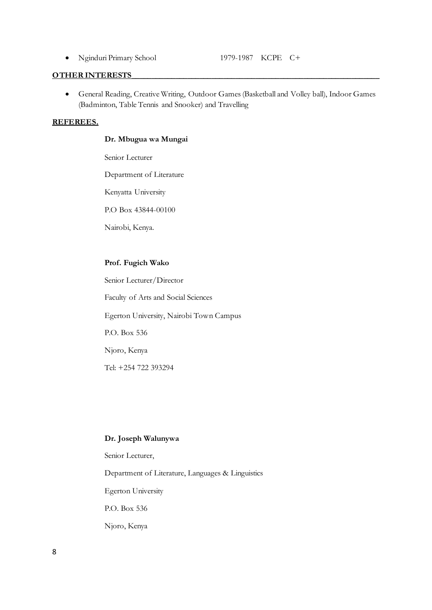• Nginduri Primary School 1979-1987 KCPE C+

#### **OTHER INTERESTS**\_\_\_\_\_\_\_\_\_\_\_\_\_\_\_\_\_\_\_\_\_\_\_\_\_\_\_\_\_\_\_\_\_\_\_\_\_\_\_\_\_\_\_\_\_\_\_\_\_\_\_\_\_\_\_\_\_\_\_\_\_\_

 General Reading, Creative Writing, Outdoor Games (Basketball and Volley ball), Indoor Games (Badminton, Table Tennis and Snooker) and Travelling

#### **REFEREES.**

#### **Dr. Mbugua wa Mungai**

Senior Lecturer

Department of Literature

Kenyatta University

P.O Box 43844-00100

Nairobi, Kenya.

#### **Prof. Fugich Wako**

Senior Lecturer/Director Faculty of Arts and Social Sciences Egerton University, Nairobi Town Campus P.O. Box 536 Njoro, Kenya Tel: +254 722 393294

#### **Dr. Joseph Walunywa**

Senior Lecturer,

Department of Literature, Languages & Linguistics

Egerton University

P.O. Box 536

Njoro, Kenya